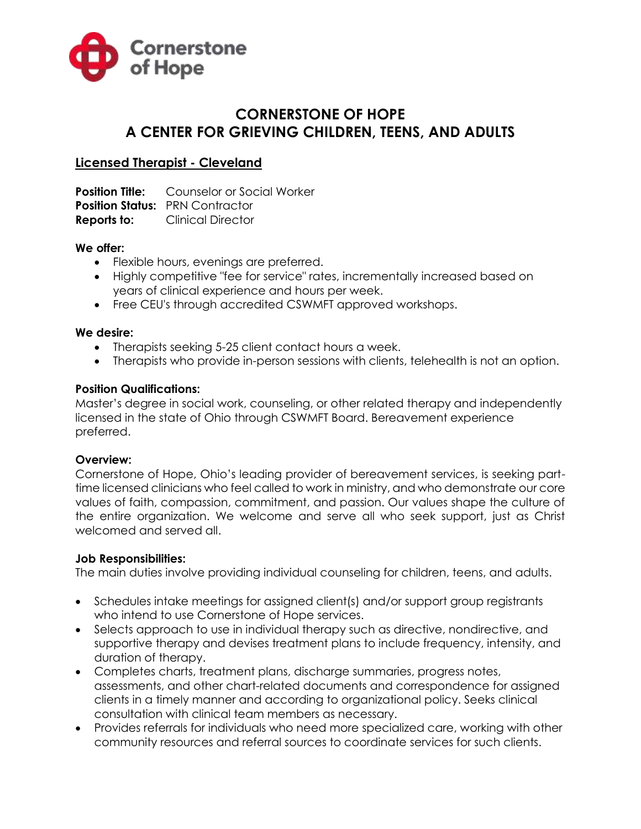

# **CORNERSTONE OF HOPE A CENTER FOR GRIEVING CHILDREN, TEENS, AND ADULTS**

## **Licensed Therapist - Cleveland**

**Position Title:** Counselor or Social Worker **Position Status: PRN Contractor Reports to:** Clinical Director

#### **We offer:**

- Flexible hours, evenings are preferred.
- Highly competitive "fee for service" rates, incrementally increased based on years of clinical experience and hours per week.
- Free CEU's through accredited CSWMFT approved workshops.

#### **We desire:**

- Therapists seeking 5-25 client contact hours a week.
- Therapists who provide in-person sessions with clients, telehealth is not an option.

#### **Position Qualifications:**

Master's degree in social work, counseling, or other related therapy and independently licensed in the state of Ohio through CSWMFT Board. Bereavement experience preferred.

#### **Overview:**

Cornerstone of Hope, Ohio's leading provider of bereavement services, is seeking parttime licensed clinicians who feel called to work in ministry, and who demonstrate our core values of faith, compassion, commitment, and passion. Our values shape the culture of the entire organization. We welcome and serve all who seek support, just as Christ welcomed and served all.

#### **Job Responsibilities:**

The main duties involve providing individual counseling for children, teens, and adults.

- Schedules intake meetings for assigned client(s) and/or support group registrants who intend to use Cornerstone of Hope services.
- Selects approach to use in individual therapy such as directive, nondirective, and supportive therapy and devises treatment plans to include frequency, intensity, and duration of therapy.
- Completes charts, treatment plans, discharge summaries, progress notes, assessments, and other chart-related documents and correspondence for assigned clients in a timely manner and according to organizational policy. Seeks clinical consultation with clinical team members as necessary.
- Provides referrals for individuals who need more specialized care, working with other community resources and referral sources to coordinate services for such clients.